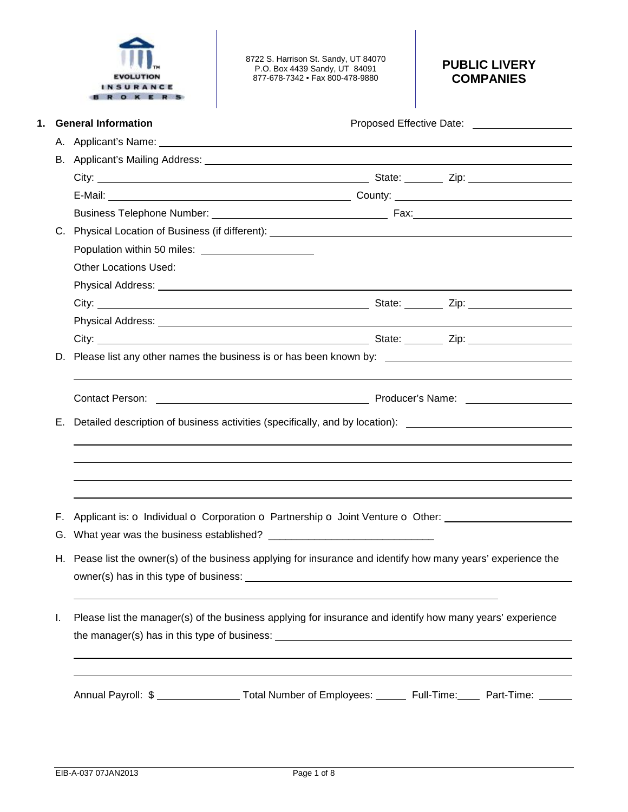

8722 S. Harrison St. Sandy, UT 84070 P.O. Box 4439 Sandy, UT 84091 877-678-7342 • Fax 800-478-9880

# **PUBLIC LIVERY COMPANIES**

|    | <b>General Information</b>                                                                                    |                                                                                                                                                                                                                                      |  |
|----|---------------------------------------------------------------------------------------------------------------|--------------------------------------------------------------------------------------------------------------------------------------------------------------------------------------------------------------------------------------|--|
|    |                                                                                                               |                                                                                                                                                                                                                                      |  |
|    |                                                                                                               |                                                                                                                                                                                                                                      |  |
|    |                                                                                                               |                                                                                                                                                                                                                                      |  |
|    |                                                                                                               |                                                                                                                                                                                                                                      |  |
|    |                                                                                                               |                                                                                                                                                                                                                                      |  |
| C. |                                                                                                               |                                                                                                                                                                                                                                      |  |
|    |                                                                                                               |                                                                                                                                                                                                                                      |  |
|    | <b>Other Locations Used:</b>                                                                                  |                                                                                                                                                                                                                                      |  |
|    |                                                                                                               |                                                                                                                                                                                                                                      |  |
|    |                                                                                                               |                                                                                                                                                                                                                                      |  |
|    |                                                                                                               |                                                                                                                                                                                                                                      |  |
|    |                                                                                                               |                                                                                                                                                                                                                                      |  |
|    | D. Please list any other names the business is or has been known by: _______________________________          |                                                                                                                                                                                                                                      |  |
| Е. | Detailed description of business activities (specifically, and by location): ________________________________ | Contact Person: <u>New York: New York: New York: New York: Name: New York: New York: New York: New York: New York: New York: New York: New York: New York: New York: New York: New York: New York: New York: New York: New York:</u> |  |
|    |                                                                                                               |                                                                                                                                                                                                                                      |  |
| F. | Applicant is: o Individual o Corporation o Partnership o Joint Venture o Other: ____________________          |                                                                                                                                                                                                                                      |  |
|    |                                                                                                               |                                                                                                                                                                                                                                      |  |
|    | H. Pease list the owner(s) of the business applying for insurance and identify how many years' experience the |                                                                                                                                                                                                                                      |  |
|    |                                                                                                               |                                                                                                                                                                                                                                      |  |
| I. | Please list the manager(s) of the business applying for insurance and identify how many years' experience     |                                                                                                                                                                                                                                      |  |
|    |                                                                                                               |                                                                                                                                                                                                                                      |  |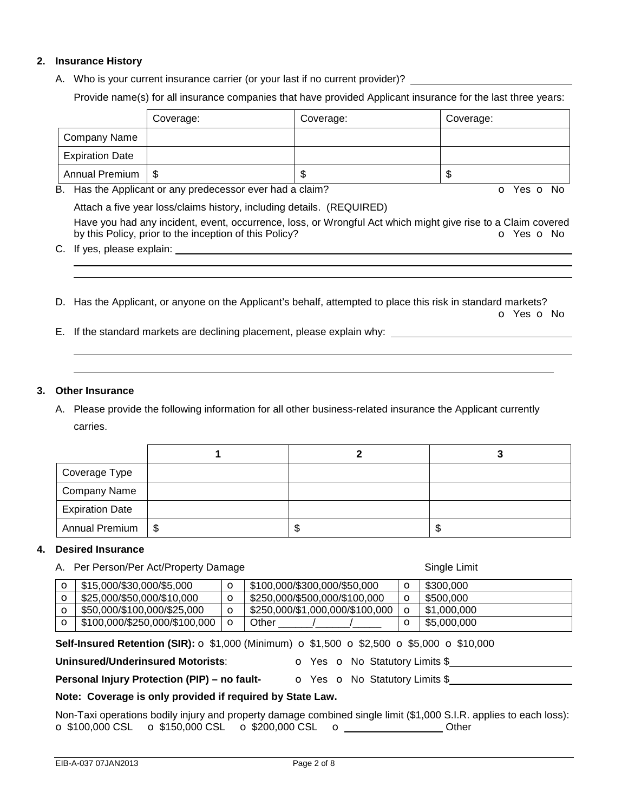## **2. Insurance History**

A. Who is your current insurance carrier (or your last if no current provider)?

Provide name(s) for all insurance companies that have provided Applicant insurance for the last three years:

|                        | Coverage: | Coverage: | Coverage: |
|------------------------|-----------|-----------|-----------|
| <b>Company Name</b>    |           |           |           |
| <b>Expiration Date</b> |           |           |           |
| Annual Premium         | - \$      | ъD        | ۰IJ       |

B. Has the Applicant or any predecessor ever had a claim? **O Yes O No** 

Attach a five year loss/claims history, including details. (REQUIRED)

Have you had any incident, event, occurrence, loss, or Wrongful Act which might give rise to a Claim covered by this Policy, prior to the inception of this Policy? **o Yes o No** Yes **o** No

- C. If yes, please explain:
- D. Has the Applicant, or anyone on the Applicant's behalf, attempted to place this risk in standard markets? o Yes o No
- E. If the standard markets are declining placement, please explain why:

#### **3. Other Insurance**

 

A. Please provide the following information for all other business-related insurance the Applicant currently carries.

| Coverage Type          |   |   |
|------------------------|---|---|
| <b>Company Name</b>    |   |   |
| <b>Expiration Date</b> |   |   |
| Annual Premium   \$    | D | J |

#### **4. Desired Insurance**

|          | A. Per Person/Per Act/Property Damage |         | Single Limit                    |             |             |
|----------|---------------------------------------|---------|---------------------------------|-------------|-------------|
|          | \$15,000/\$30,000/\$5,000             | O       | \$100,000/\$300,000/\$50,000    | $\circ$     | \$300,000   |
| $\Omega$ | \$25,000/\$50,000/\$10,000            | O       | \$250,000/\$500,000/\$100,000   | $\circ$     | \$500,000   |
| $\circ$  | \$50,000/\$100,000/\$25,000           | O       | \$250,000/\$1,000,000/\$100,000 |             | \$1,000,000 |
| $\Omega$ | \$100,000/\$250,000/\$100,000         | $\circ$ | Other                           | $\mathbf O$ | \$5,000,000 |

**Self-Insured Retention (SIR):** o \$1,000 (Minimum) o \$1,500 o \$2,500 o \$5,000 o \$10,000

**Uninsured/Underinsured Motorists: COVES ON NO Statutory Limits \$** 

**Personal Injury Protection (PIP) – no fault-** o Yes o No Statutory Limits \$

## **Note: Coverage is only provided if required by State Law.**

Non-Taxi operations bodily injury and property damage combined single limit (\$1,000 S.I.R. applies to each loss): o \$100,000 CSL o \$150,000 CSL o \$200,000 CSL o Other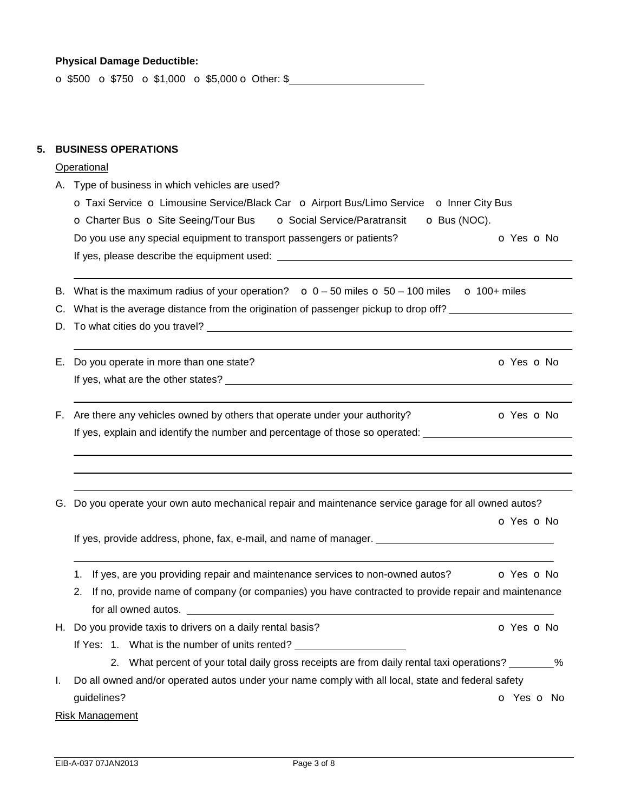#### **Physical Damage Deductible:**

o \$500 o \$750 o \$1,000 o \$5,000 o Other: \$

#### **5. BUSINESS OPERATIONS**

#### **Operational**

A. Type of business in which vehicles are used?

| <b>O</b> Taxi Service <b>O</b> Limousine Service/Black Car <b>O</b> Airport Bus/Limo Service <b>O</b> Inner City Bus |                                     |                      |
|----------------------------------------------------------------------------------------------------------------------|-------------------------------------|----------------------|
| <b>O</b> Charter Bus <b>O</b> Site Seeing/Tour Bus                                                                   | <b>O</b> Social Service/Paratransit | $\bullet$ Bus (NOC). |
| Do you use any special equipment to transport passengers or patients?                                                |                                     | o Yes o No           |
| If yes, please describe the equipment used:                                                                          |                                     |                      |

- B. What is the maximum radius of your operation?  $\bullet$  0 50 miles  $\bullet$  50 100 miles  $\bullet$  100+ miles
- C. What is the average distance from the origination of passenger pickup to drop off?
- D. To what cities do you travel?

| E. Do you operate in more than one state? | O Yes O No |
|-------------------------------------------|------------|
| If yes, what are the other states?        |            |

- F. Are there any vehicles owned by others that operate under your authority?  $\bullet$  Yes  $\bullet$  No If yes, explain and identify the number and percentage of those so operated:
- G. Do you operate your own auto mechanical repair and maintenance service garage for all owned autos?

o Yes o No

If yes, provide address, phone, fax, e-mail, and name of manager.

- 1. If yes, are you providing repair and maintenance services to non-owned autos?  $\bullet$  Yes  $\bullet$  No
- 2. If no, provide name of company (or companies) you have contracted to provide repair and maintenance for all owned autos.
- H. Do you provide taxis to drivers on a daily rental basis? **Canada and Solution Contact Contact Contact Contact Contact Contact Contact Contact Contact Contact Contact Contact Contact Contact Contact Contact Contact Conta** 
	- If Yes: 1. What is the number of units rented?
		- 2. What percent of your total daily gross receipts are from daily rental taxi operations? \_\_\_\_\_\_\_\_%

| I. Do all owned and/or operated autos under your name comply with all local, state and federal safety |            |  |  |
|-------------------------------------------------------------------------------------------------------|------------|--|--|
| guidelines?                                                                                           | O Yes O No |  |  |

Risk Management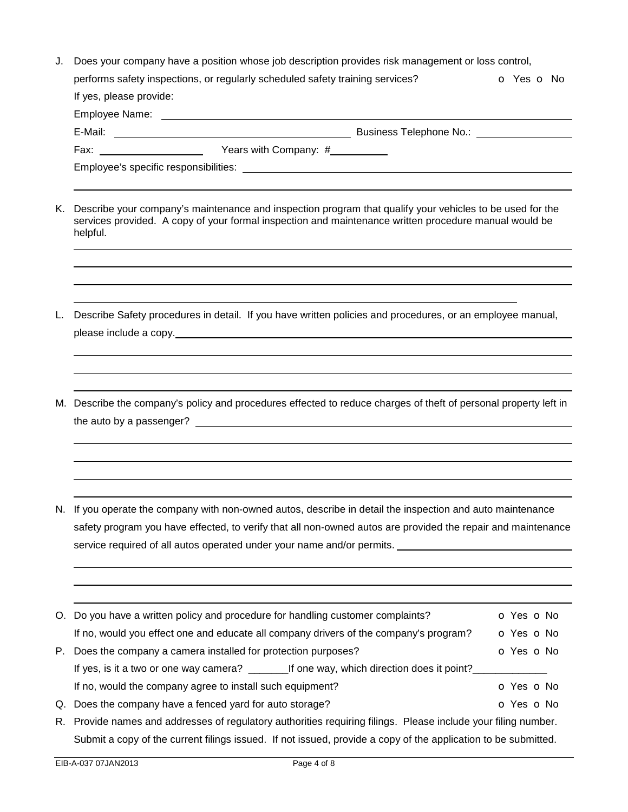| J. | Does your company have a position whose job description provides risk management or loss control,                                                                                                                                                                                                                                                                                                                                                           |                          |  |
|----|-------------------------------------------------------------------------------------------------------------------------------------------------------------------------------------------------------------------------------------------------------------------------------------------------------------------------------------------------------------------------------------------------------------------------------------------------------------|--------------------------|--|
|    | performs safety inspections, or regularly scheduled safety training services?                                                                                                                                                                                                                                                                                                                                                                               | <b>o</b> Yes <b>o</b> No |  |
|    | If yes, please provide:                                                                                                                                                                                                                                                                                                                                                                                                                                     |                          |  |
|    |                                                                                                                                                                                                                                                                                                                                                                                                                                                             |                          |  |
|    |                                                                                                                                                                                                                                                                                                                                                                                                                                                             |                          |  |
|    |                                                                                                                                                                                                                                                                                                                                                                                                                                                             |                          |  |
|    |                                                                                                                                                                                                                                                                                                                                                                                                                                                             |                          |  |
| Κ. | Describe your company's maintenance and inspection program that qualify your vehicles to be used for the<br>services provided. A copy of your formal inspection and maintenance written procedure manual would be<br>helpful.                                                                                                                                                                                                                               |                          |  |
| L. | Describe Safety procedures in detail. If you have written policies and procedures, or an employee manual,                                                                                                                                                                                                                                                                                                                                                   |                          |  |
|    | M. Describe the company's policy and procedures effected to reduce charges of theft of personal property left in                                                                                                                                                                                                                                                                                                                                            |                          |  |
|    | N. If you operate the company with non-owned autos, describe in detail the inspection and auto maintenance<br>safety program you have effected, to verify that all non-owned autos are provided the repair and maintenance<br>service required of all autos operated under your name and/or permits. _____________________________<br><u> 1989 - Johann John Stone, markin sanadi amerikan bahasa dalam bahasa dalam bahasa dalam bahasa dalam bahasa d</u> |                          |  |
|    | O. Do you have a written policy and procedure for handling customer complaints?                                                                                                                                                                                                                                                                                                                                                                             | O Yes O No               |  |
|    | If no, would you effect one and educate all company drivers of the company's program?                                                                                                                                                                                                                                                                                                                                                                       | o Yes o No               |  |
|    | P. Does the company a camera installed for protection purposes?                                                                                                                                                                                                                                                                                                                                                                                             | o Yes o No               |  |
|    | If yes, is it a two or one way camera? ____________If one way, which direction does it point?____                                                                                                                                                                                                                                                                                                                                                           |                          |  |
|    | If no, would the company agree to install such equipment?                                                                                                                                                                                                                                                                                                                                                                                                   | O Yes O No               |  |
| Q. | Does the company have a fenced yard for auto storage?                                                                                                                                                                                                                                                                                                                                                                                                       | o Yes o No               |  |
| R. | Provide names and addresses of regulatory authorities requiring filings. Please include your filing number.                                                                                                                                                                                                                                                                                                                                                 |                          |  |
|    | Submit a copy of the current filings issued. If not issued, provide a copy of the application to be submitted.                                                                                                                                                                                                                                                                                                                                              |                          |  |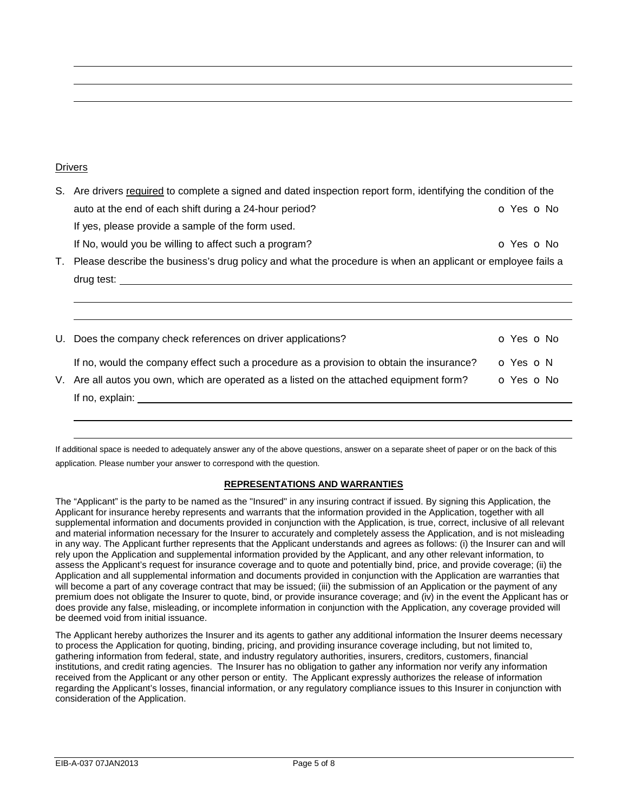#### **Drivers**

- S. Are drivers required to complete a signed and dated inspection report form, identifying the condition of the auto at the end of each shift during a 24-hour period? **o Yes o No** Yes **o** No If yes, please provide a sample of the form used. If No, would you be willing to affect such a program?  $\bullet$  Yes  $\bullet$  No T. Please describe the business's drug policy and what the procedure is when an applicant or employee fails a drug test:
- U. Does the company check references on driver applications? **O** Yes **o** No If no, would the company effect such a procedure as a provision to obtain the insurance?  $\bullet$  Yes  $\bullet$  N V. Are all autos you own, which are operated as a listed on the attached equipment form?  $\bullet$  Yes  $\bullet$  No If no, explain:

If additional space is needed to adequately answer any of the above questions, answer on a separate sheet of paper or on the back of this application. Please number your answer to correspond with the question.

#### **REPRESENTATIONS AND WARRANTIES**

The "Applicant" is the party to be named as the "Insured" in any insuring contract if issued. By signing this Application, the Applicant for insurance hereby represents and warrants that the information provided in the Application, together with all supplemental information and documents provided in conjunction with the Application, is true, correct, inclusive of all relevant and material information necessary for the Insurer to accurately and completely assess the Application, and is not misleading in any way. The Applicant further represents that the Applicant understands and agrees as follows: (i) the Insurer can and will rely upon the Application and supplemental information provided by the Applicant, and any other relevant information, to assess the Applicant's request for insurance coverage and to quote and potentially bind, price, and provide coverage; (ii) the Application and all supplemental information and documents provided in conjunction with the Application are warranties that will become a part of any coverage contract that may be issued; (iii) the submission of an Application or the payment of any premium does not obligate the Insurer to quote, bind, or provide insurance coverage; and (iv) in the event the Applicant has or does provide any false, misleading, or incomplete information in conjunction with the Application, any coverage provided will be deemed void from initial issuance.

The Applicant hereby authorizes the Insurer and its agents to gather any additional information the Insurer deems necessary to process the Application for quoting, binding, pricing, and providing insurance coverage including, but not limited to, gathering information from federal, state, and industry regulatory authorities, insurers, creditors, customers, financial institutions, and credit rating agencies. The Insurer has no obligation to gather any information nor verify any information received from the Applicant or any other person or entity. The Applicant expressly authorizes the release of information regarding the Applicant's losses, financial information, or any regulatory compliance issues to this Insurer in conjunction with consideration of the Application.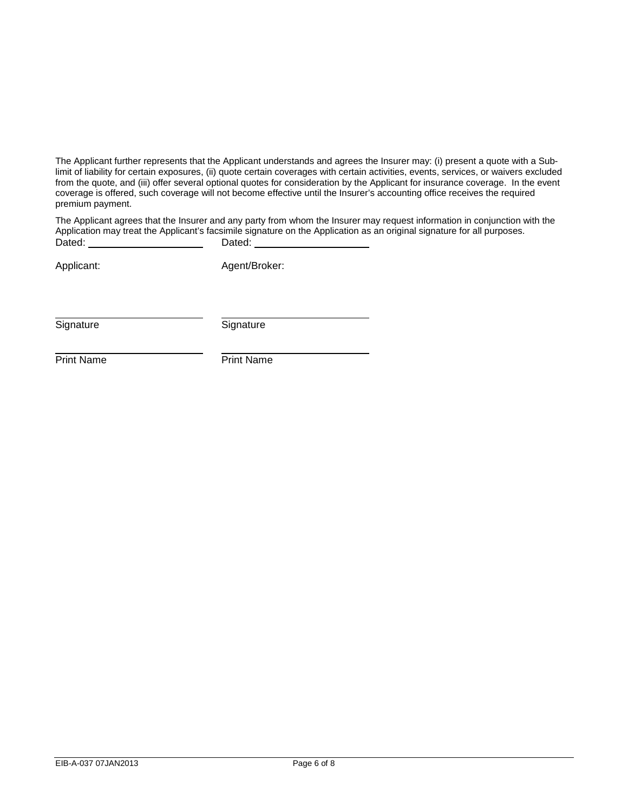The Applicant further represents that the Applicant understands and agrees the Insurer may: (i) present a quote with a Sublimit of liability for certain exposures, (ii) quote certain coverages with certain activities, events, services, or waivers excluded from the quote, and (iii) offer several optional quotes for consideration by the Applicant for insurance coverage. In the event coverage is offered, such coverage will not become effective until the Insurer's accounting office receives the required premium payment.

The Applicant agrees that the Insurer and any party from whom the Insurer may request information in conjunction with the Application may treat the Applicant's facsimile signature on the Application as an original signature for all purposes.<br>Dated: Dated: Dated:

Applicant: Agent/Broker:

Signature Signature Signature

Print Name **Print Name**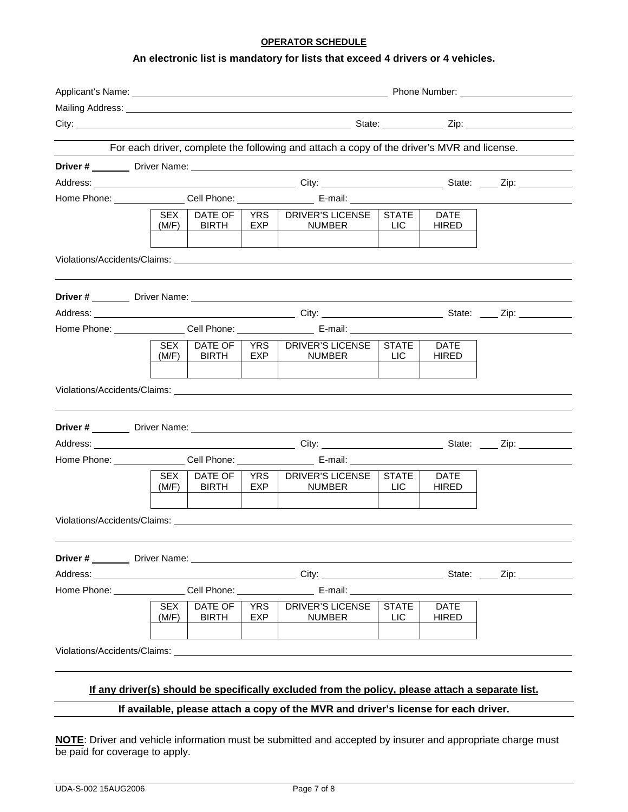#### **OPERATOR SCHEDULE**

## **An electronic list is mandatory for lists that exceed 4 drivers or 4 vehicles.**

| Mailing Address: Universe and Separate and Separate and Separate and Separate and Separate and Separate and Separate and Separate and Separate and Separate and Separate and Separate and Separate and Separate and Separate a |                     |                                |                     |                                                                                                                                                                                                                                |                            |                             |  |
|--------------------------------------------------------------------------------------------------------------------------------------------------------------------------------------------------------------------------------|---------------------|--------------------------------|---------------------|--------------------------------------------------------------------------------------------------------------------------------------------------------------------------------------------------------------------------------|----------------------------|-----------------------------|--|
|                                                                                                                                                                                                                                |                     |                                |                     |                                                                                                                                                                                                                                |                            |                             |  |
|                                                                                                                                                                                                                                |                     |                                |                     | For each driver, complete the following and attach a copy of the driver's MVR and license.                                                                                                                                     |                            |                             |  |
|                                                                                                                                                                                                                                |                     |                                |                     |                                                                                                                                                                                                                                |                            |                             |  |
|                                                                                                                                                                                                                                |                     |                                |                     |                                                                                                                                                                                                                                |                            |                             |  |
|                                                                                                                                                                                                                                |                     |                                |                     | Home Phone: ________________Cell Phone: _____________________________E-mail: _______________________                                                                                                                           |                            |                             |  |
|                                                                                                                                                                                                                                | SEX  <br>(M/F)      | DATE OF  <br><b>BIRTH</b>      | EXP                 | YRS   DRIVER'S LICENSE  <br><b>NUMBER</b>                                                                                                                                                                                      | <b>STATE</b><br><b>LIC</b> | <b>DATE</b><br><b>HIRED</b> |  |
|                                                                                                                                                                                                                                |                     |                                |                     |                                                                                                                                                                                                                                |                            |                             |  |
|                                                                                                                                                                                                                                |                     |                                |                     |                                                                                                                                                                                                                                |                            |                             |  |
|                                                                                                                                                                                                                                |                     |                                |                     |                                                                                                                                                                                                                                |                            |                             |  |
|                                                                                                                                                                                                                                |                     |                                |                     | Home Phone: _______________Cell Phone: ____________________E-mail: _________________________________                                                                                                                           |                            |                             |  |
|                                                                                                                                                                                                                                | SEX.<br>(M/F)       | DATE OF  <br><b>BIRTH</b>      | YRS  <br><b>EXP</b> | DRIVER'S LICENSE<br><b>NUMBER</b>                                                                                                                                                                                              | STATE<br>LIC <sub></sub>   | <b>DATE</b><br><b>HIRED</b> |  |
|                                                                                                                                                                                                                                |                     |                                |                     |                                                                                                                                                                                                                                |                            |                             |  |
|                                                                                                                                                                                                                                |                     |                                |                     |                                                                                                                                                                                                                                |                            |                             |  |
|                                                                                                                                                                                                                                |                     |                                |                     |                                                                                                                                                                                                                                |                            |                             |  |
|                                                                                                                                                                                                                                |                     |                                |                     | Home Phone: ________________Cell Phone: _______________________ E-mail: _______________                                                                                                                                        |                            |                             |  |
|                                                                                                                                                                                                                                | <b>SEX</b><br>(M/F) | DATE OF<br><b>BIRTH</b>        | YRS<br>EXP          | DRIVER'S LICENSE<br><b>NUMBER</b>                                                                                                                                                                                              | <b>STATE</b><br><b>LIC</b> | <b>DATE</b><br>HIRED        |  |
|                                                                                                                                                                                                                                |                     |                                |                     | Violations/Accidents/Claims: Williams and School and School and School and School and School and School and School and School and School and School and School and School and School and School and School and School and Scho |                            |                             |  |
|                                                                                                                                                                                                                                |                     |                                |                     |                                                                                                                                                                                                                                |                            |                             |  |
|                                                                                                                                                                                                                                |                     |                                |                     |                                                                                                                                                                                                                                |                            |                             |  |
|                                                                                                                                                                                                                                |                     |                                |                     | Home Phone: ________________Cell Phone: ______________________E-mail: ___________                                                                                                                                              |                            |                             |  |
|                                                                                                                                                                                                                                | <b>SEX</b><br>(M/F) | <b>DATE OF</b><br><b>BIRTH</b> | YRS<br>EXP          | <b>DRIVER'S LICENSE</b><br><b>NUMBER</b>                                                                                                                                                                                       | <b>STATE</b><br><b>LIC</b> | <b>DATE</b><br><b>HIRED</b> |  |
|                                                                                                                                                                                                                                |                     |                                |                     | Violations/Accidents/Claims: Williams and Science of the Contract of the Contract of the Contract of the Contract of the Contract of the Contract of the Contract of the Contract of the Contract of the Contract of the Contr |                            |                             |  |
|                                                                                                                                                                                                                                |                     |                                |                     | If any driver(s) should be specifically excluded from the policy, please attach a separate list.                                                                                                                               |                            |                             |  |
|                                                                                                                                                                                                                                |                     |                                |                     | If available, please attach a copy of the MVR and driver's license for each driver.                                                                                                                                            |                            |                             |  |

**NOTE**: Driver and vehicle information must be submitted and accepted by insurer and appropriate charge must be paid for coverage to apply.